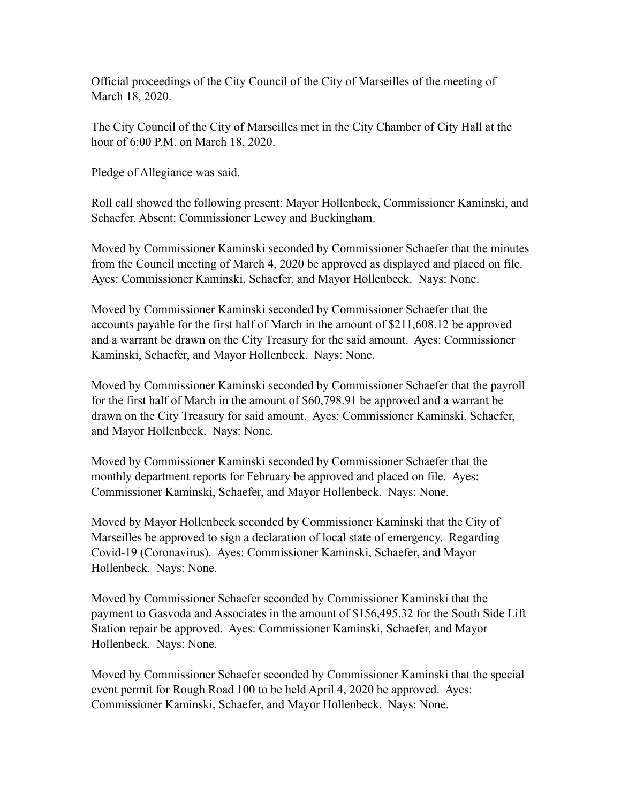Official proceedings of the City Council of the City of Marseilles of the meeting of March 18, 2020.

The City Council of the City of Marseilles met in the City Chamber of City Hall at the hour of 6:00 P.M. on March 18, 2020.

Pledge of Allegiance was said.

Roll call showed the following present: Mayor Hollenbeck, Commissioner Kaminski, and Schaefer. Absent: Commissioner Lewey and Buckingham.

Moved by Commissioner Kaminski seconded by Commissioner Schaefer that the minutes from the Council meeting of March 4, 2020 be approved as displayed and placed on file. Ayes: Commissioner Kaminski, Schaefer, and Mayor Hollenbeck. Nays: None.

Moved by Commissioner Kaminski seconded by Commissioner Schaefer that the accounts payable for the first half of March in the amount of \$211,608.12 be approved and a warrant be drawn on the City Treasury for the said amount. Ayes: Commissioner Kaminski, Schaefer, and Mayor Hollenbeck. Nays: None.

Moved by Commissioner Kaminski seconded by Commissioner Schaefer that the payroll for the first half of March in the amount of \$60,798.91 be approved and a warrant be drawn on the City Treasury for said amount. Ayes: Commissioner Kaminski, Schaefer, and Mayor Hollenbeck. Nays: None.

Moved by Commissioner Kaminski seconded by Commissioner Schaefer that the monthly department reports for February be approved and placed on file. Ayes: Commissioner Kaminski, Schaefer, and Mayor Hollenbeck. Nays: None.

Moved by Mayor Hollenbeck seconded by Commissioner Kaminski that the City of Marseilles be approved to sign a declaration of local state of emergency. Regarding Covid-19 (Coronavirus). Ayes: Commissioner Kaminski, Schaefer, and Mayor Hollenbeck. Nays: None.

Moved by Commissioner Schaefer seconded by Commissioner Kaminski that the payment to Gasvoda and Associates in the amount of \$156,495.32 for the South Side Lift Station repair be approved. Ayes: Commissioner Kaminski, Schaefer, and Mayor Hollenbeck. Nays: None.

Moved by Commissioner Schaefer seconded by Commissioner Kaminski that the special event permit for Rough Road 100 to be held April 4, 2020 be approved. Ayes: Commissioner Kaminski, Schaefer, and Mayor Hollenbeck. Nays: None.